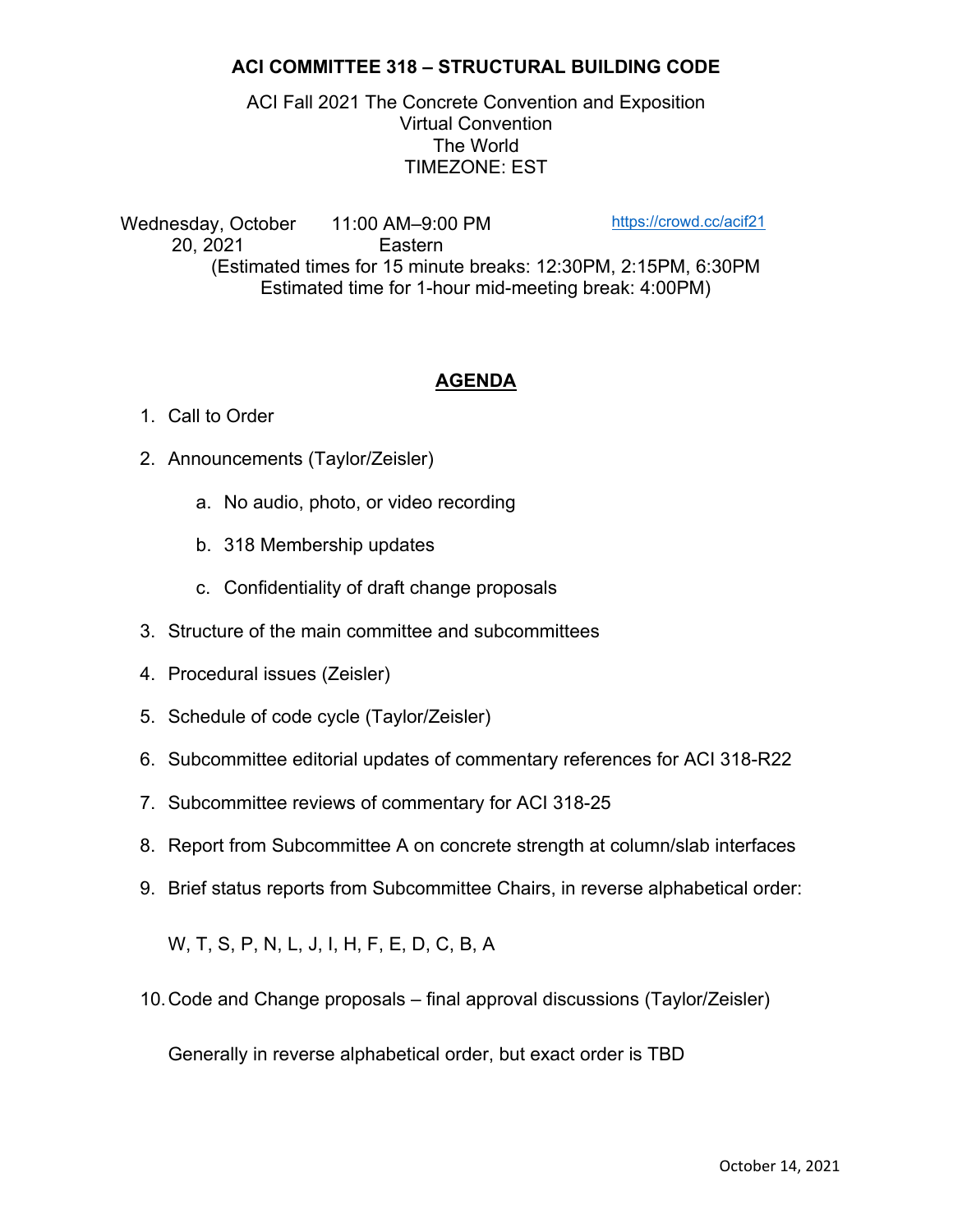### **ACI COMMITTEE 318 – STRUCTURAL BUILDING CODE**

ACI Fall 2021 The Concrete Convention and Exposition Virtual Convention The World TIMEZONE: EST

Wednesday, October 20, 2021 11:00 AM–9:00 PM Eastern https://crowd.cc/acif21 (Estimated times for 15 minute breaks: 12:30PM, 2:15PM, 6:30PM Estimated time for 1-hour mid-meeting break: 4:00PM)

#### **AGENDA**

- 1. Call to Order
- 2. Announcements (Taylor/Zeisler)
	- a. No audio, photo, or video recording
	- b. 318 Membership updates
	- c. Confidentiality of draft change proposals
- 3. Structure of the main committee and subcommittees
- 4. Procedural issues (Zeisler)
- 5. Schedule of code cycle (Taylor/Zeisler)
- 6. Subcommittee editorial updates of commentary references for ACI 318-R22
- 7. Subcommittee reviews of commentary for ACI 318-25
- 8. Report from Subcommittee A on concrete strength at column/slab interfaces
- 9. Brief status reports from Subcommittee Chairs, in reverse alphabetical order:

W, T, S, P, N, L, J, I, H, F, E, D, C, B, A

10. Code and Change proposals – final approval discussions (Taylor/Zeisler)

Generally in reverse alphabetical order, but exact order is TBD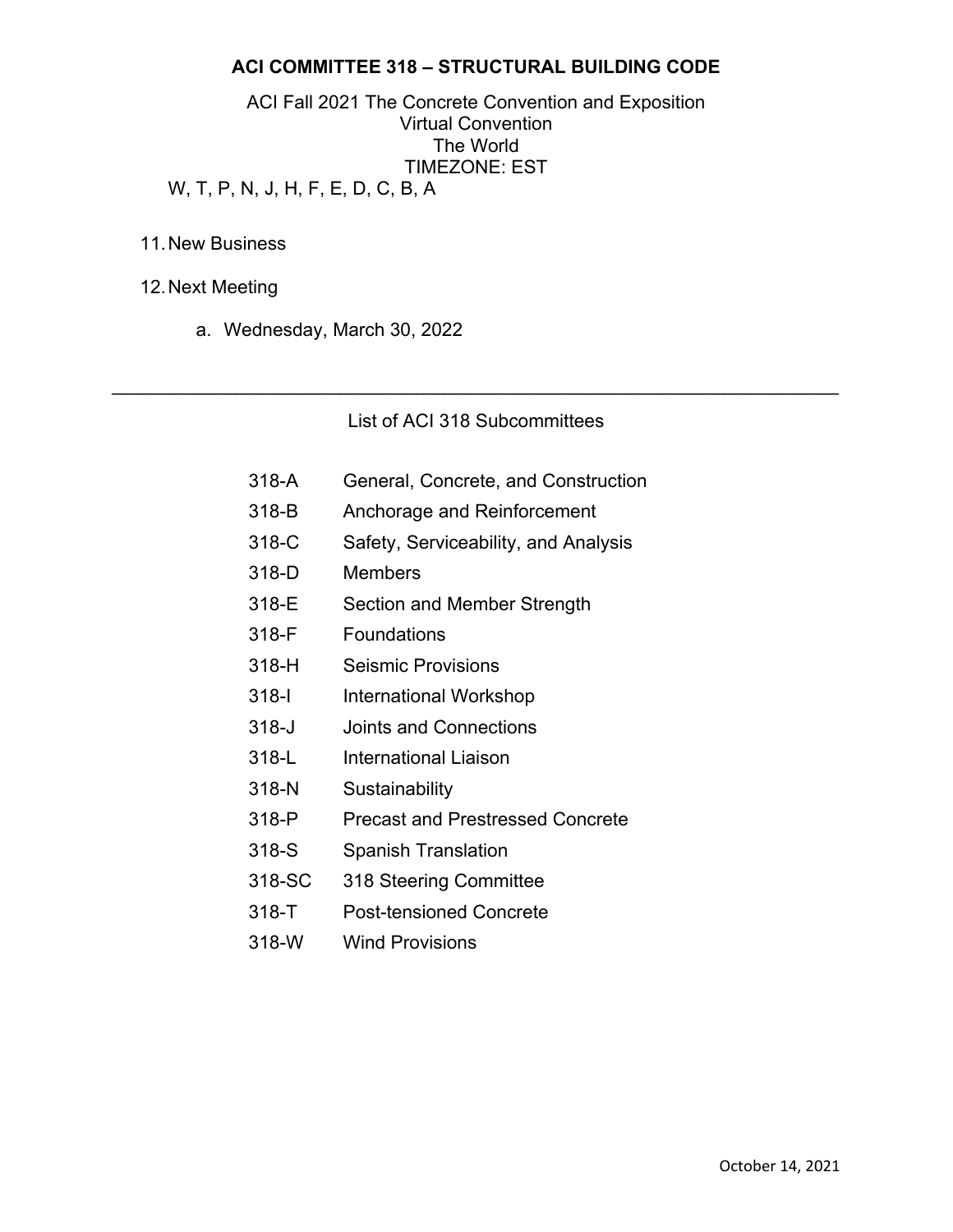#### **ACI COMMITTEE 318 – STRUCTURAL BUILDING CODE**

ACI Fall 2021 The Concrete Convention and Exposition Virtual Convention The World TIMEZONE: EST W, T, P, N, J, H, F, E, D, C, B, A

- 11. New Business
- 12. Next Meeting
	- a. Wednesday, March 30, 2022

#### List of ACI 318 Subcommittees

\_\_\_\_\_\_\_\_\_\_\_\_\_\_\_\_\_\_\_\_\_\_\_\_\_\_\_\_\_\_\_\_\_\_\_\_\_\_\_\_\_\_\_\_\_\_\_\_\_\_\_\_\_\_\_\_\_\_\_\_\_\_\_\_\_\_\_\_\_\_

- 318-A General, Concrete, and Construction
- 318-B Anchorage and Reinforcement
- 318-C Safety, Serviceability, and Analysis
- 318-D Members
- 318-E Section and Member Strength
- 318-F Foundations
- 318-H Seismic Provisions
- 318-I International Workshop
- 318-J Joints and Connections
- 318-L International Liaison
- 318-N Sustainability
- 318-P Precast and Prestressed Concrete
- 318-S Spanish Translation
- 318-SC 318 Steering Committee
- 318-T Post-tensioned Concrete
- 318-W Wind Provisions